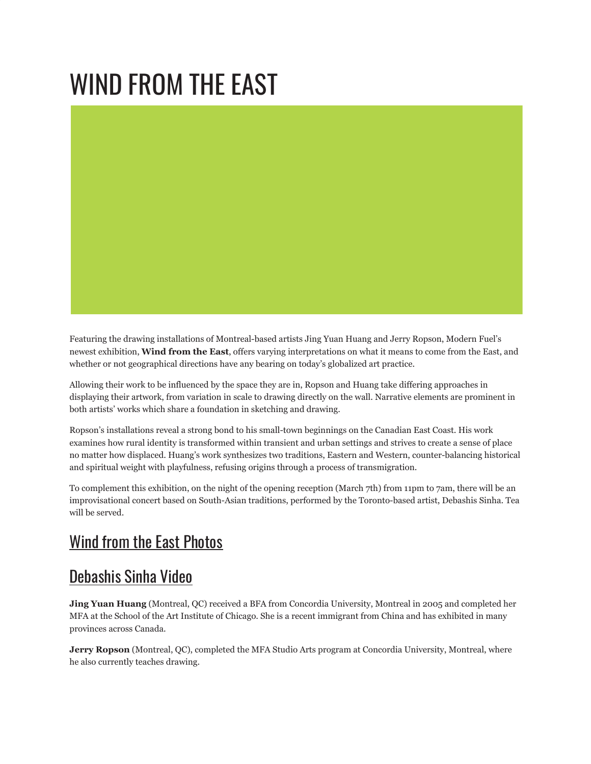# WIND FROM THE EAST



Featuring the drawing installations of Montreal-based artists Jing Yuan Huang and Jerry Ropson, Modern Fuel's newest exhibition, **Wind from the East**, offers varying interpretations on what it means to come from the East, and whether or not geographical directions have any bearing on today's globalized art practice.

Allowing their work to be influenced by the space they are in, Ropson and Huang take differing approaches in displaying their artwork, from variation in scale to drawing directly on the wall. Narrative elements are prominent in both artists' works which share a foundation in sketching and drawing.

Ropson's installations reveal a strong bond to his small-town beginnings on the Canadian East Coast. His work examines how rural identity is transformed within transient and urban settings and strives to create a sense of place no matter how displaced. Huang's work synthesizes two traditions, Eastern and Western, counter-balancing historical and spiritual weight with playfulness, refusing origins through a process of transmigration.

To complement this exhibition, on the night of the opening reception (March 7th) from 11pm to 7am, there will be an improvisational concert based on South-Asian traditions, performed by the Toronto-based artist, Debashis Sinha. Tea will be served.

## Wind from the East [Photos](http://www.flickr.com/photos/modernfuel/sets/72157615096622511/)

### [Debashis](http://www.facebook.com/search/?q=modern+fuel&init=quick#/video/video.php?v=135485315649&oid=67655408000) Sinha Video

**Jing Yuan Huang** (Montreal, QC) received a BFA from Concordia University, Montreal in 2005 and completed her MFA at the School of the Art Institute of Chicago. She is a recent immigrant from China and has exhibited in many provinces across Canada.

**Jerry Ropson** (Montreal, QC), completed the MFA Studio Arts program at Concordia University, Montreal, where he also currently teaches drawing.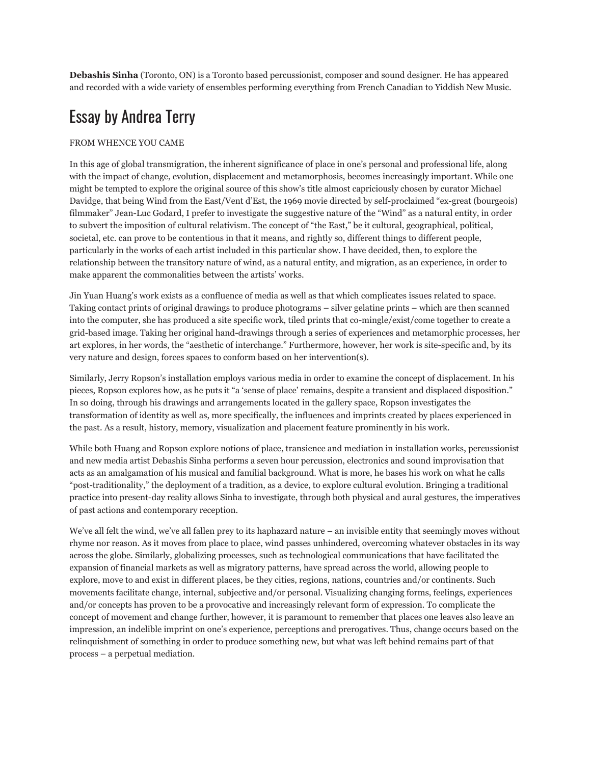**Debashis Sinha** (Toronto, ON) is a Toronto based percussionist, composer and sound designer. He has appeared and recorded with a wide variety of ensembles performing everything from French Canadian to Yiddish New Music.

#### Essay by Andrea Terry

#### FROM WHENCE YOU CAME

In this age of global transmigration, the inherent significance of place in one's personal and professional life, along with the impact of change, evolution, displacement and metamorphosis, becomes increasingly important. While one might be tempted to explore the original source of this show's title almost capriciously chosen by curator Michael Davidge, that being Wind from the East/Vent d'Est, the 1969 movie directed by self-proclaimed "ex-great (bourgeois) filmmaker" Jean-Luc Godard, I prefer to investigate the suggestive nature of the "Wind" as a natural entity, in order to subvert the imposition of cultural relativism. The concept of "the East," be it cultural, geographical, political, societal, etc. can prove to be contentious in that it means, and rightly so, different things to different people, particularly in the works of each artist included in this particular show. I have decided, then, to explore the relationship between the transitory nature of wind, as a natural entity, and migration, as an experience, in order to make apparent the commonalities between the artists' works.

Jin Yuan Huang's work exists as a confluence of media as well as that which complicates issues related to space. Taking contact prints of original drawings to produce photograms – silver gelatine prints – which are then scanned into the computer, she has produced a site specific work, tiled prints that co-mingle/exist/come together to create a grid-based image. Taking her original hand-drawings through a series of experiences and metamorphic processes, her art explores, in her words, the "aesthetic of interchange." Furthermore, however, her work is site-specific and, by its very nature and design, forces spaces to conform based on her intervention(s).

Similarly, Jerry Ropson's installation employs various media in order to examine the concept of displacement. In his pieces, Ropson explores how, as he puts it "a 'sense of place' remains, despite a transient and displaced disposition." In so doing, through his drawings and arrangements located in the gallery space, Ropson investigates the transformation of identity as well as, more specifically, the influences and imprints created by places experienced in the past. As a result, history, memory, visualization and placement feature prominently in his work.

While both Huang and Ropson explore notions of place, transience and mediation in installation works, percussionist and new media artist Debashis Sinha performs a seven hour percussion, electronics and sound improvisation that acts as an amalgamation of his musical and familial background. What is more, he bases his work on what he calls "post-traditionality," the deployment of a tradition, as a device, to explore cultural evolution. Bringing a traditional practice into present-day reality allows Sinha to investigate, through both physical and aural gestures, the imperatives of past actions and contemporary reception.

We've all felt the wind, we've all fallen prey to its haphazard nature – an invisible entity that seemingly moves without rhyme nor reason. As it moves from place to place, wind passes unhindered, overcoming whatever obstacles in its way across the globe. Similarly, globalizing processes, such as technological communications that have facilitated the expansion of financial markets as well as migratory patterns, have spread across the world, allowing people to explore, move to and exist in different places, be they cities, regions, nations, countries and/or continents. Such movements facilitate change, internal, subjective and/or personal. Visualizing changing forms, feelings, experiences and/or concepts has proven to be a provocative and increasingly relevant form of expression. To complicate the concept of movement and change further, however, it is paramount to remember that places one leaves also leave an impression, an indelible imprint on one's experience, perceptions and prerogatives. Thus, change occurs based on the relinquishment of something in order to produce something new, but what was left behind remains part of that process – a perpetual mediation.